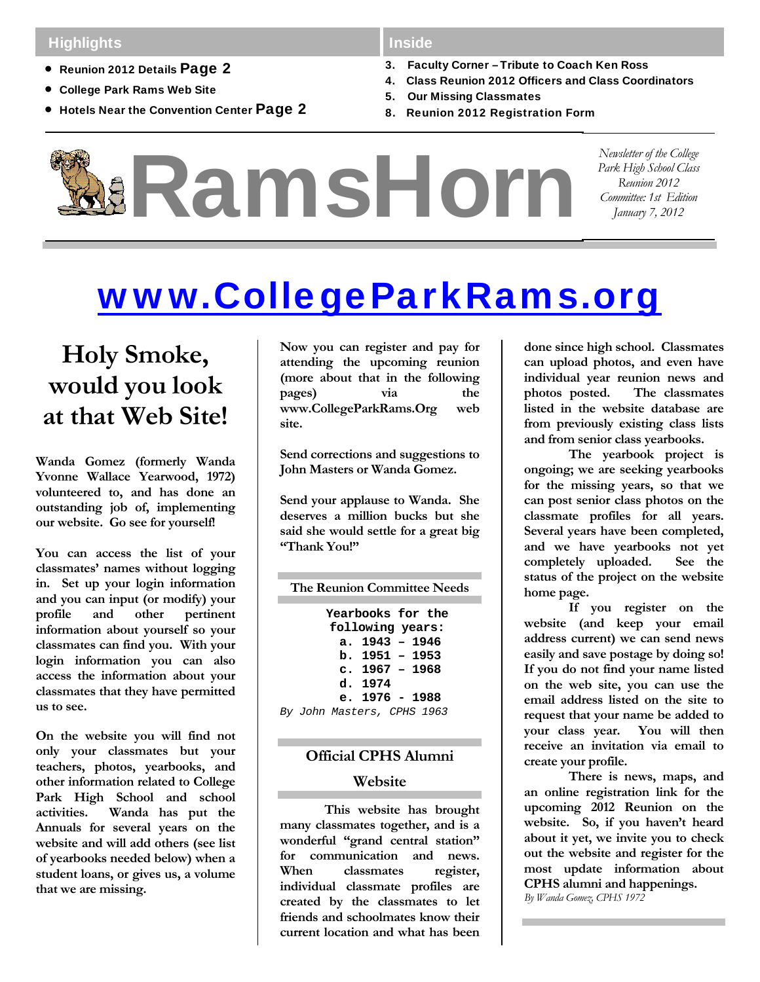# **Highlights**

- Reunion 2012 Details Page 2
- College Park Rams Web Site
- **Hotels Near the Convention Center Page 2**

### Inside

- 3. Faculty Corner Tribute to Coach Ken Ross
- 4. Class Reunion 2012 Officers and Class Coordinators
- 5. Our Missing Classmates
- 8. Reunion 2012 Registration Form



# www.CollegeParkRams.org

# **Holy Smoke, would you look at that Web Site!**

**Wanda Gomez (formerly Wanda Yvonne Wallace Yearwood, 1972) volunteered to, and has done an outstanding job of, implementing our website. Go see for yourself!** 

**You can access the list of your classmates' names without logging in. Set up your login information and you can input (or modify) your profile and other pertinent information about yourself so your classmates can find you. With your login information you can also access the information about your classmates that they have permitted us to see.** 

**On the website you will find not only your classmates but your teachers, photos, yearbooks, and other information related to College Park High School and school activities. Wanda has put the Annuals for several years on the website and will add others (see list of yearbooks needed below) when a student loans, or gives us, a volume that we are missing.** 

**Now you can register and pay for attending the upcoming reunion (more about that in the following pages) via the www.CollegeParkRams.Org web site.** 

**Send corrections and suggestions to John Masters or Wanda Gomez.** 

**Send your applause to Wanda. She deserves a million bucks but she said she would settle for a great big "Thank You!"** 

| The Reunion Committee Needs |  |  |  |  |
|-----------------------------|--|--|--|--|
| Yearbooks for the           |  |  |  |  |
|                             |  |  |  |  |
| following years:            |  |  |  |  |
| a. $1943 - 1946$            |  |  |  |  |
| $b. 1951 - 1953$            |  |  |  |  |
| c. $1967 - 1968$            |  |  |  |  |
| d. 1974                     |  |  |  |  |
| e. $1976 - 1988$            |  |  |  |  |
| By John Masters, CPHS 1963  |  |  |  |  |
|                             |  |  |  |  |

# **Official CPHS Alumni**

#### **Website**

**This website has brought many classmates together, and is a wonderful "grand central station" for communication and news. When classmates register, individual classmate profiles are created by the classmates to let friends and schoolmates know their current location and what has been** 

**done since high school. Classmates can upload photos, and even have individual year reunion news and photos posted. The classmates listed in the website database are from previously existing class lists and from senior class yearbooks.** 

**The yearbook project is ongoing; we are seeking yearbooks for the missing years, so that we can post senior class photos on the classmate profiles for all years. Several years have been completed, and we have yearbooks not yet completely uploaded. See the status of the project on the website home page.** 

**If you register on the website (and keep your email address current) we can send news easily and save postage by doing so! If you do not find your name listed on the web site, you can use the email address listed on the site to request that your name be added to your class year. You will then receive an invitation via email to create your profile.** 

**There is news, maps, and an online registration link for the upcoming 2012 Reunion on the website. So, if you haven't heard about it yet, we invite you to check out the website and register for the most update information about CPHS alumni and happenings.**  *By Wanda Gomez, CPHS 1972*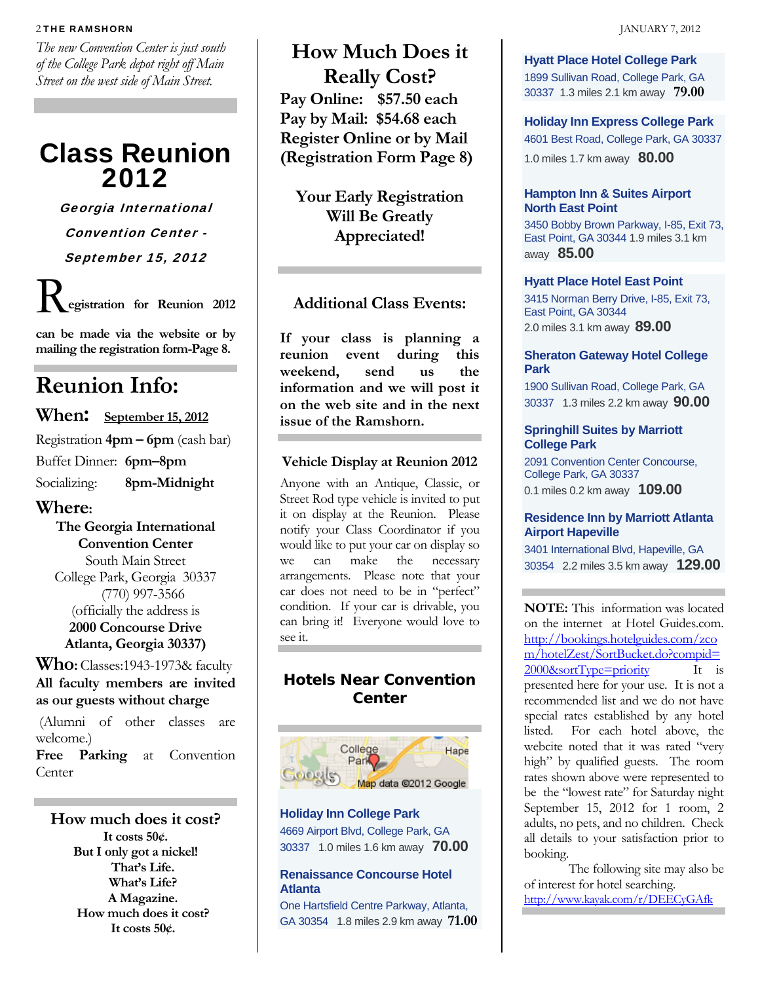#### 2 THE RAMSHORN **JANUARY 7, 2012**

*The new Convention Center is just south of the College Park depot right off Main Street on the west side of Main Street.* 

# Class Reunion 2012

Georgia International Convention Center - September 15, 2012

R**egistration for Reunion 2012** 

**can be made via the website or by mailing the registration form-Page 8.** 

# **Reunion Info:**

# **When: September 15, 2012**

Registration **4pm – 6pm** (cash bar) Buffet Dinner: **6pm–8pm**  Socializing: **8pm-Midnight** 

## **Where:**

**The Georgia International Convention Center**  South Main Street College Park, Georgia 30337 (770) 997-3566 (officially the address is **2000 Concourse Drive Atlanta, Georgia 30337)** 

## **Who:** Classes:1943-1973& faculty **All faculty members are invited as our guests without charge**

 (Alumni of other classes are welcome.)

**Free Parking** at Convention **Center** 

**How much does it cost? It costs 50¢. But I only got a nickel! That's Life. What's Life? A Magazine. How much does it cost? It costs 50¢.** 

**How Much Does it Really Cost? Pay Online: \$57.50 each Pay by Mail: \$54.68 each Register Online or by Mail (Registration Form Page 8)** 

**Your Early Registration Will Be Greatly Appreciated!** 

# **Additional Class Events:**

**If your class is planning a reunion event during this weekend, send us the information and we will post it on the web site and in the next issue of the Ramshorn.**

### **Vehicle Display at Reunion 2012**

Anyone with an Antique, Classic, or Street Rod type vehicle is invited to put it on display at the Reunion. Please notify your Class Coordinator if you would like to put your car on display so we can make the necessary arrangements. Please note that your car does not need to be in "perfect" condition. If your car is drivable, you can bring it! Everyone would love to see it.

# **Hotels Near Convention Center**



**Holiday Inn College Park**  4669 Airport Blvd, College Park, GA 30337 1.0 miles 1.6 km away **70.00**

#### **Renaissance Concourse Hotel Atlanta**

One Hartsfield Centre Parkway, Atlanta, GA 30354 1.8 miles 2.9 km away **71.00** **Hyatt Place Hotel College Park** 1899 Sullivan Road, College Park, GA 30337 1.3 miles 2.1 km away **79.00**

**Holiday Inn Express College Park**  4601 Best Road, College Park, GA 30337 1.0 miles 1.7 km away **80.00**

#### **Hampton Inn & Suites Airport North East Point**

3450 Bobby Brown Parkway, I-85, Exit 73, East Point, GA 30344 1.9 miles 3.1 km away **85.00**

#### **Hyatt Place Hotel East Point**

3415 Norman Berry Drive, I-85, Exit 73, East Point, GA 30344 2.0 miles 3.1 km away **89.00**

#### **Sheraton Gateway Hotel College Park**

1900 Sullivan Road, College Park, GA 30337 1.3 miles 2.2 km away **90.00**

#### **Springhill Suites by Marriott College Park**

2091 Convention Center Concourse, College Park, GA 30337 0.1 miles 0.2 km away **109.00**

#### **Residence Inn by Marriott Atlanta Airport Hapeville**

3401 International Blvd, Hapeville, GA 30354 2.2 miles 3.5 km away **129.00**

**NOTE:** This information was located on the internet at Hotel Guides.com. http://bookings.hotelguides.com/zco m/hotelZest/SortBucket.do?compid=  $2000$ &sortType=priority It is presented here for your use. It is not a recommended list and we do not have special rates established by any hotel listed. For each hotel above, the webcite noted that it was rated "very high" by qualified guests. The room rates shown above were represented to be the "lowest rate" for Saturday night September 15, 2012 for 1 room, 2 adults, no pets, and no children. Check all details to your satisfaction prior to booking.

The following site may also be of interest for hotel searching. http://www.kayak.com/r/DEECyGAfk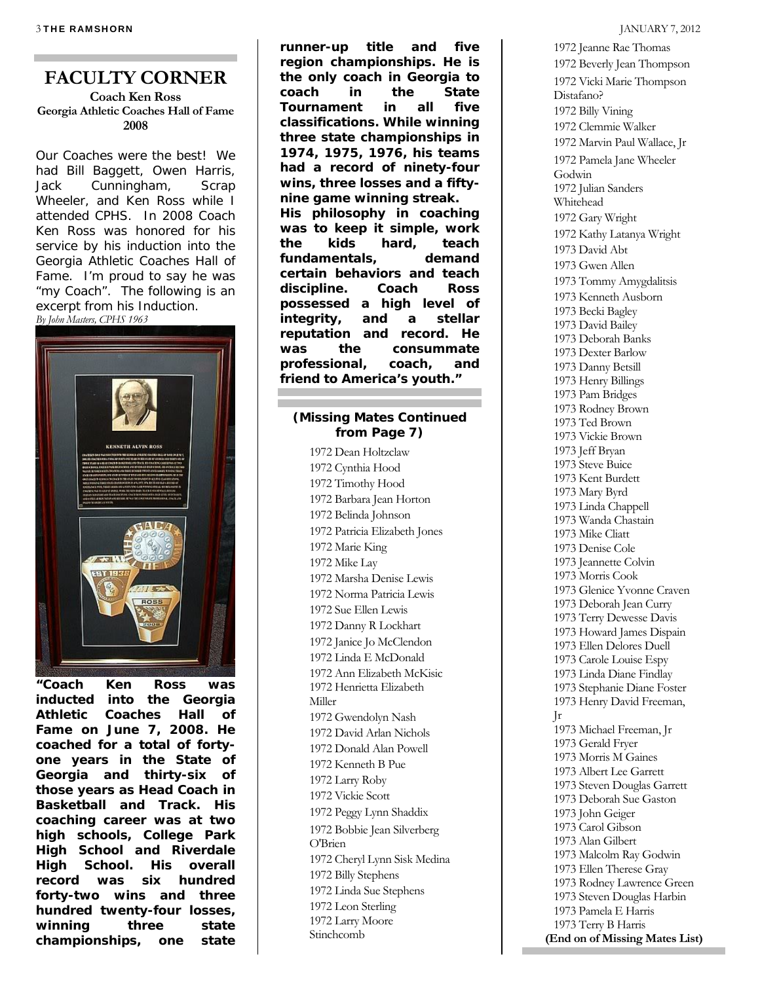# **FACULTY CORNER**

#### **Coach Ken Ross Georgia Athletic Coaches Hall of Fame 2008**

Our Coaches were the best! We had Bill Baggett, Owen Harris, Jack Cunningham, Scrap Wheeler, and Ken Ross while I attended CPHS. In 2008 Coach Ken Ross was honored for his service by his induction into the Georgia Athletic Coaches Hall of Fame. I'm proud to say he was "my Coach". The following is an excerpt from his Induction. *By John Masters, CPHS 1963* 



**inducted into the Georgia Athletic Coaches Hall of Fame on June 7, 2008. He coached for a total of fortyone years in the State of Georgia and thirty-six of those years as Head Coach in Basketball and Track. His coaching career was at two high schools, College Park High School and Riverdale High School. His overall record was six hundred forty-two wins and three hundred twenty-four losses, winning three state championships, one state** 

**runner-up title and five region championships. He is the only coach in Georgia to coach in the State Tournament in all five classifications. While winning three state championships in 1974, 1975, 1976, his teams had a record of ninety-four wins, three losses and a fiftynine game winning streak. His philosophy in coaching was to keep it simple, work the kids hard, teach fundamentals, demand certain behaviors and teach discipline. Coach Ross possessed a high level of integrity, and a stellar reputation and record. He was the consummate professional, coach, and friend to America's youth."** 

#### **(Missing Mates Continued from Page 7)**

1972 Dean Holtzclaw 1972 Cynthia Hood 1972 Timothy Hood 1972 Barbara Jean Horton 1972 Belinda Johnson 1972 Patricia Elizabeth Jones 1972 Marie King 1972 Mike Lay 1972 Marsha Denise Lewis 1972 Norma Patricia Lewis 1972 Sue Ellen Lewis 1972 Danny R Lockhart 1972 Janice Jo McClendon 1972 Linda E McDonald 1972 Ann Elizabeth McKisic 1972 Henrietta Elizabeth Miller 1972 Gwendolyn Nash 1972 David Arlan Nichols 1972 Donald Alan Powell 1972 Kenneth B Pue 1972 Larry Roby 1972 Vickie Scott 1972 Peggy Lynn Shaddix 1972 Bobbie Jean Silverberg O'Brien 1972 Cheryl Lynn Sisk Medina 1972 Billy Stephens 1972 Linda Sue Stephens 1972 Leon Sterling 1972 Larry Moore Stinchcomb

1972 Jeanne Rae Thomas 1972 Beverly Jean Thompson 1972 Vicki Marie Thompson Distafano? 1972 Billy Vining 1972 Clemmie Walker 1972 Marvin Paul Wallace, Jr 1972 Pamela Jane Wheeler Godwin 1972 Julian Sanders Whitehead 1972 Gary Wright 1972 Kathy Latanya Wright 1973 David Abt 1973 Gwen Allen 1973 Tommy Amygdalitsis 1973 Kenneth Ausborn 1973 Becki Bagley 1973 David Bailey 1973 Deborah Banks 1973 Dexter Barlow 1973 Danny Betsill 1973 Henry Billings 1973 Pam Bridges 1973 Rodney Brown 1973 Ted Brown 1973 Vickie Brown 1973 Jeff Bryan 1973 Steve Buice 1973 Kent Burdett 1973 Mary Byrd 1973 Linda Chappell 1973 Wanda Chastain 1973 Mike Cliatt 1973 Denise Cole 1973 Jeannette Colvin 1973 Morris Cook 1973 Glenice Yvonne Craven 1973 Deborah Jean Curry 1973 Terry Dewesse Davis 1973 Howard James Dispain 1973 Ellen Delores Duell 1973 Carole Louise Espy 1973 Linda Diane Findlay 1973 Stephanie Diane Foster 1973 Henry David Freeman, Jr 1973 Michael Freeman, Jr 1973 Gerald Fryer 1973 Morris M Gaines 1973 Albert Lee Garrett 1973 Steven Douglas Garrett 1973 Deborah Sue Gaston 1973 John Geiger 1973 Carol Gibson 1973 Alan Gilbert 1973 Malcolm Ray Godwin 1973 Ellen Therese Gray 1973 Rodney Lawrence Green 1973 Steven Douglas Harbin 1973 Pamela E Harris 1973 Terry B Harris **(End on of Missing Mates List)**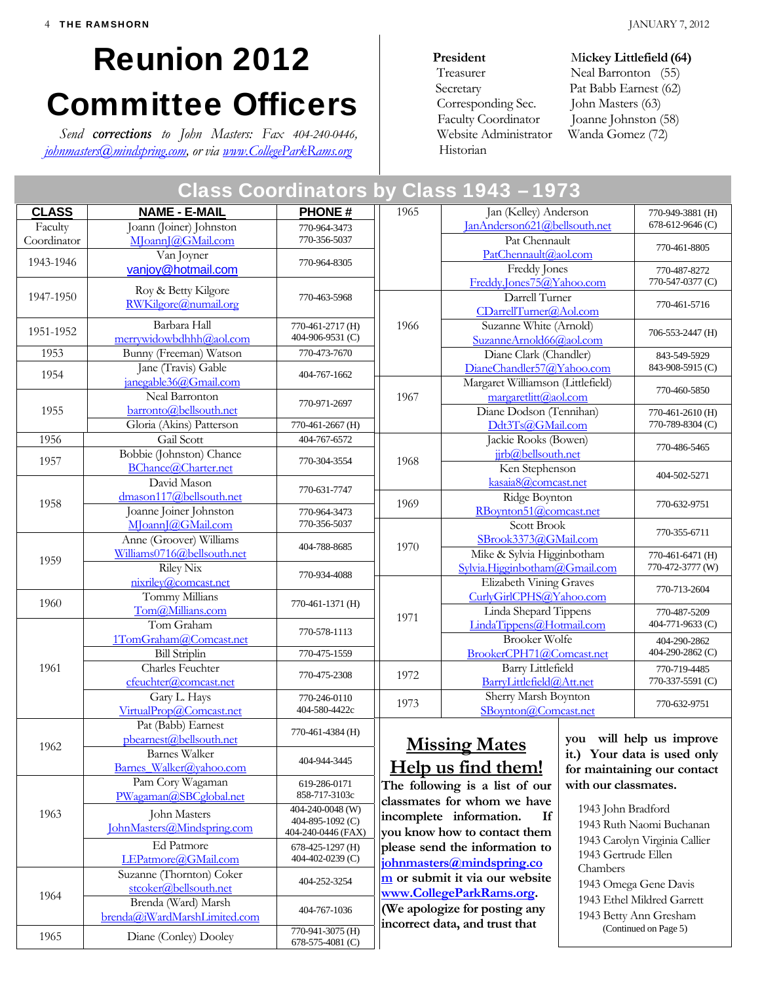# Reunion 2012 Committee Officers

*Send corrections to John Masters: Fax 404-240-0446, johnmasters@mindspring.com, or via www.CollegeParkRams.org*

#### **President** Mickey Littlefield (64) Treasurer Neal Barronton (55) Secretary Pat Babb Earnest (62) Corresponding Sec. John Masters (63) Faculty Coordinator Joanne Johnston (58) Website Administrator Wanda Gomez (72) Historian

| Class Coordinators by Class 1943 – 1973 |                                                       |                                      |                                                                                                                                                                  |                                                      |                                     |                                                                      |  |
|-----------------------------------------|-------------------------------------------------------|--------------------------------------|------------------------------------------------------------------------------------------------------------------------------------------------------------------|------------------------------------------------------|-------------------------------------|----------------------------------------------------------------------|--|
| <b>CLASS</b>                            | <b>NAME - E-MAIL</b>                                  | <b>PHONE#</b>                        | 1965                                                                                                                                                             | Jan (Kelley) Anderson                                |                                     | 770-949-3881 (H)                                                     |  |
| Faculty                                 | Joann (Joiner) Johnston                               | 770-964-3473                         |                                                                                                                                                                  | JanAnderson621@bellsouth.net                         | 678-612-9646(C)                     |                                                                      |  |
| Coordinator                             | MoannJ@GMail.com                                      | 770-356-5037                         |                                                                                                                                                                  | Pat Chennault                                        | 770-461-8805                        |                                                                      |  |
| 1943-1946                               | Van Joyner                                            | 770-964-8305                         |                                                                                                                                                                  | PatChennault@aol.com                                 |                                     |                                                                      |  |
|                                         | vanjoy@hotmail.com                                    |                                      |                                                                                                                                                                  | Freddy Jones<br>Freddy.Jones75@Yahoo.com             |                                     | 770-487-8272<br>770-547-0377 (C)                                     |  |
| 1947-1950                               | Roy & Betty Kilgore                                   | 770-463-5968                         |                                                                                                                                                                  | Darrell Turner                                       |                                     |                                                                      |  |
|                                         | RWKilgore@numail.org                                  |                                      |                                                                                                                                                                  | CDarrellTurner@Aol.com                               |                                     | 770-461-5716                                                         |  |
|                                         | Barbara Hall                                          | 770-461-2717 (H)                     | 1966                                                                                                                                                             | Suzanne White (Arnold)                               |                                     |                                                                      |  |
| 1951-1952                               | merrywidowbdhhh@aol.com                               | 404-906-9531 (C)                     | SuzanneArnold66@aol.com                                                                                                                                          |                                                      |                                     | 706-553-2447 (H)                                                     |  |
| 1953                                    | Bunny (Freeman) Watson                                | 770-473-7670                         | Diane Clark (Chandler)                                                                                                                                           |                                                      |                                     | 843-549-5929                                                         |  |
| 1954                                    | Jane (Travis) Gable                                   | 404-767-1662                         | DianeChandler57@Yahoo.com                                                                                                                                        |                                                      |                                     | 843-908-5915 (C)                                                     |  |
|                                         | janegable36@Gmail.com                                 |                                      |                                                                                                                                                                  | Margaret Williamson (Littlefield)                    | 770-460-5850                        |                                                                      |  |
|                                         | Neal Barronton<br>barronto@bellsouth.net              | 770-971-2697                         | 1967                                                                                                                                                             | margaretlitt@aol.com                                 |                                     |                                                                      |  |
| 1955                                    | Gloria (Akins) Patterson                              | 770-461-2667 (H)                     |                                                                                                                                                                  | Diane Dodson (Tennihan)<br>Ddt3Ts@GMail.com          |                                     | 770-461-2610 (H)<br>770-789-8304 (C)                                 |  |
| 1956                                    | Gail Scott                                            | 404-767-6572                         |                                                                                                                                                                  |                                                      |                                     |                                                                      |  |
|                                         | Bobbie (Johnston) Chance                              |                                      |                                                                                                                                                                  | Jackie Rooks (Bowen)<br>jirb@bellsouth.net           |                                     | 770-486-5465                                                         |  |
| 1957                                    | BChance@Charter.net                                   | 770-304-3554                         | 1968                                                                                                                                                             | Ken Stephenson                                       |                                     |                                                                      |  |
|                                         | David Mason                                           | 770-631-7747                         |                                                                                                                                                                  |                                                      | 404-502-5271<br>kasaia8@comcast.net |                                                                      |  |
| 1958                                    | dmason117@bellsouth.net                               |                                      | 1969                                                                                                                                                             | Ridge Boynton                                        | 770-632-9751                        |                                                                      |  |
|                                         | Joanne Joiner Johnston                                | 770-964-3473                         |                                                                                                                                                                  | RBoynton51@comcast.net                               |                                     |                                                                      |  |
|                                         | MoannJ@GMail.com                                      | 770-356-5037                         |                                                                                                                                                                  |                                                      | Scott Brook                         |                                                                      |  |
| 1959                                    | Anne (Groover) Williams<br>Williams0716@bellsouth.net | 404-788-8685                         | 1970                                                                                                                                                             | SBrook3373@GMail.com<br>Mike & Sylvia Higginbotham   |                                     | 770-355-6711<br>770-461-6471 (H)<br>770-472-3777 (W)<br>770-713-2604 |  |
|                                         | Riley Nix                                             |                                      |                                                                                                                                                                  | Sylvia.Higginbotham@Gmail.com                        |                                     |                                                                      |  |
|                                         | nixriley@comcast.net                                  | 770-934-4088                         |                                                                                                                                                                  | Elizabeth Vining Graves                              |                                     |                                                                      |  |
|                                         | Tommy Millians                                        |                                      |                                                                                                                                                                  | CurlyGirlCPHS@Yahoo.com                              |                                     |                                                                      |  |
| 1960                                    | Tom@Millians.com                                      | 770-461-1371 (H)                     | 1971                                                                                                                                                             | Linda Shepard Tippens                                |                                     | 770-487-5209                                                         |  |
|                                         | Tom Graham                                            | 770-578-1113                         |                                                                                                                                                                  | LindaTippens@Hotmail.com                             |                                     | 404-771-9633 (C)                                                     |  |
|                                         | 1TomGraham@Comcast.net                                |                                      |                                                                                                                                                                  | <b>Brooker Wolfe</b>                                 |                                     | 404-290-2862                                                         |  |
|                                         | <b>Bill Striplin</b>                                  | 770-475-1559                         | BrookerCPH71@Comcast.net                                                                                                                                         |                                                      |                                     | 404-290-2862 (C)                                                     |  |
| 1961                                    | Charles Feuchter<br>cfeuchter@comcast.net             | 770-475-2308                         | 1972                                                                                                                                                             | <b>Barry Littlefield</b><br>BarryLittlefield@Att.net |                                     | 770-719-4485<br>770-337-5591 (C)                                     |  |
|                                         | Gary L. Hays                                          | 770-246-0110                         |                                                                                                                                                                  | Sherry Marsh Boynton                                 |                                     |                                                                      |  |
|                                         | VirtualProp@Comcast.net                               | 404-580-4422c                        | 1973                                                                                                                                                             | SBoynton@Comcast.net                                 |                                     | 770-632-9751                                                         |  |
|                                         | Pat (Babb) Earnest                                    |                                      |                                                                                                                                                                  |                                                      |                                     |                                                                      |  |
|                                         | pbearnest@bellsouth.net                               | 770-461-4384 (H)                     | you will help us improve<br><b>Missing Mates</b><br>it.) Your data is used only<br><u>Help us find them!</u><br>for maintaining our contact                      |                                                      |                                     |                                                                      |  |
| 1962                                    | <b>Barnes Walker</b>                                  | 404-944-3445                         |                                                                                                                                                                  |                                                      |                                     |                                                                      |  |
|                                         | Barnes Walker@vahoo.com                               |                                      |                                                                                                                                                                  |                                                      |                                     |                                                                      |  |
|                                         | Pam Cory Wagaman                                      | 619-286-0171<br>858-717-3103c        | The following is a list of our<br>classmates for whom we have<br>incomplete information.<br>If<br>you know how to contact them<br>please send the information to |                                                      | with our classmates.                |                                                                      |  |
| 1963                                    | PWagaman@SBCglobal.net                                | 404-240-0048 (W)                     |                                                                                                                                                                  |                                                      |                                     | 1943 John Bradford<br>1943 Ruth Naomi Buchanan                       |  |
|                                         | John Masters                                          | 404-895-1092 (C)                     |                                                                                                                                                                  |                                                      |                                     |                                                                      |  |
|                                         | JohnMasters@Mindspring.com                            | 404-240-0446 (FAX)                   |                                                                                                                                                                  |                                                      | 1943 Carolyn Virginia Callier       |                                                                      |  |
|                                         | Ed Patmore                                            | 678-425-1297 (H)<br>404-402-0239 (C) |                                                                                                                                                                  |                                                      | 1943 Gertrude Ellen                 |                                                                      |  |
|                                         | LEPatmore@GMail.com<br>Suzanne (Thornton) Coker       |                                      |                                                                                                                                                                  | johnmasters@mindspring.co                            |                                     |                                                                      |  |
| 1964                                    | stcoker@bellsouth.net                                 | 404-252-3254                         |                                                                                                                                                                  | m or submit it via our website                       |                                     | 1943 Omega Gene Davis                                                |  |
|                                         | Brenda (Ward) Marsh                                   |                                      | www.CollegeParkRams.org.                                                                                                                                         |                                                      |                                     | 1943 Ethel Mildred Garrett                                           |  |
|                                         | brenda@iWardMarshLimited.com                          | 404-767-1036                         |                                                                                                                                                                  | (We apologize for posting any                        | 1943 Betty Ann Gresham              |                                                                      |  |
| 1965                                    | Diane (Conley) Dooley                                 | 770-941-3075 (H)<br>678-575-4081 (C) | incorrect data, and trust that<br>(Continued on Page 5)                                                                                                          |                                                      |                                     |                                                                      |  |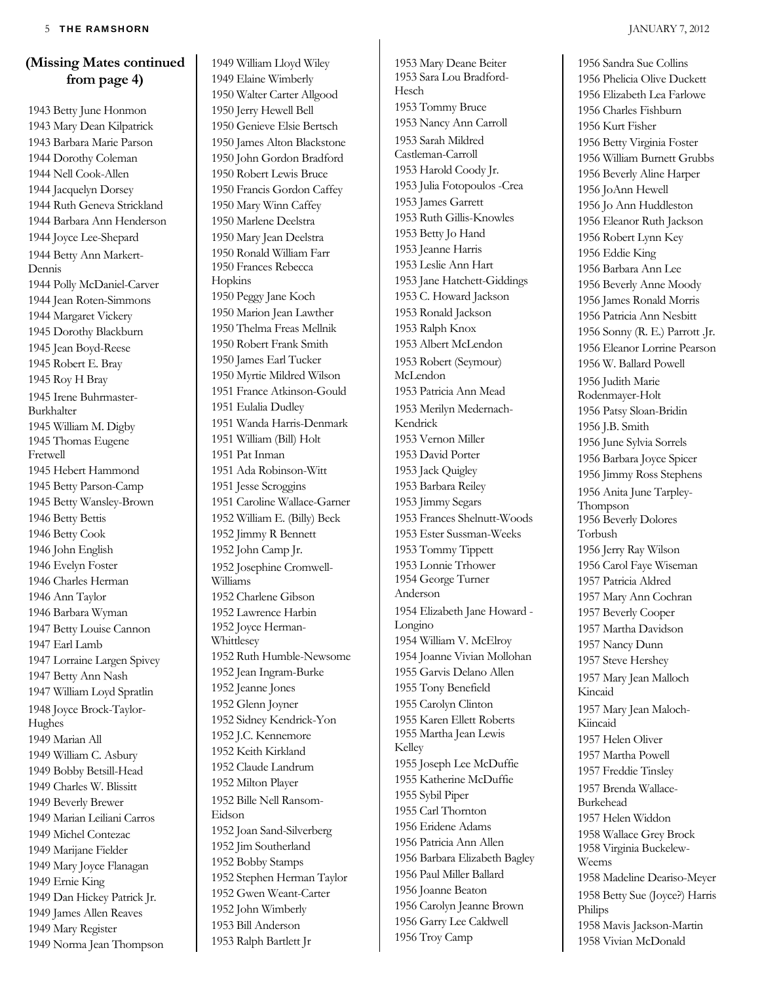#### **(Missing Mates continued from page 4)**

1943 Betty June Honmon 1943 Mary Dean Kilpatrick 1943 Barbara Marie Parson 1944 Dorothy Coleman 1944 Nell Cook-Allen 1944 Jacquelyn Dorsey 1944 Ruth Geneva Strickland 1944 Barbara Ann Henderson 1944 Joyce Lee-Shepard 1944 Betty Ann Markert-Dennis 1944 Polly McDaniel-Carver 1944 Jean Roten-Simmons 1944 Margaret Vickery 1945 Dorothy Blackburn 1945 Jean Boyd-Reese 1945 Robert E. Bray 1945 Roy H Bray 1945 Irene Buhrmaster-Burkhalter 1945 William M. Digby 1945 Thomas Eugene Fretwell 1945 Hebert Hammond 1945 Betty Parson-Camp 1945 Betty Wansley-Brown 1946 Betty Bettis 1946 Betty Cook 1946 John English 1946 Evelyn Foster 1946 Charles Herman 1946 Ann Taylor 1946 Barbara Wyman 1947 Betty Louise Cannon 1947 Earl Lamb 1947 Lorraine Largen Spivey 1947 Betty Ann Nash 1947 William Loyd Spratlin 1948 Joyce Brock-Taylor-Hughes 1949 Marian All 1949 William C. Asbury 1949 Bobby Betsill-Head 1949 Charles W. Blissitt 1949 Beverly Brewer 1949 Marian Leiliani Carros 1949 Michel Contezac 1949 Marijane Fielder 1949 Mary Joyce Flanagan 1949 Ernie King 1949 Dan Hickey Patrick Jr. 1949 James Allen Reaves 1949 Mary Register 1949 Norma Jean Thompson

1949 William Lloyd Wiley 1949 Elaine Wimberly 1950 Walter Carter Allgood 1950 Jerry Hewell Bell 1950 Genieve Elsie Bertsch 1950 James Alton Blackstone 1950 John Gordon Bradford 1950 Robert Lewis Bruce 1950 Francis Gordon Caffey 1950 Mary Winn Caffey 1950 Marlene Deelstra 1950 Mary Jean Deelstra 1950 Ronald William Farr 1950 Frances Rebecca Hopkins 1950 Peggy Jane Koch 1950 Marion Jean Lawther 1950 Thelma Freas Mellnik 1950 Robert Frank Smith 1950 James Earl Tucker 1950 Myrtie Mildred Wilson 1951 France Atkinson-Gould 1951 Eulalia Dudley 1951 Wanda Harris-Denmark 1951 William (Bill) Holt 1951 Pat Inman 1951 Ada Robinson-Witt 1951 Jesse Scroggins 1951 Caroline Wallace-Garner 1952 William E. (Billy) Beck 1952 Jimmy R Bennett 1952 John Camp Jr. 1952 Josephine Cromwell-Williams 1952 Charlene Gibson 1952 Lawrence Harbin 1952 Joyce Herman-Whittlesey 1952 Ruth Humble-Newsome 1952 Jean Ingram-Burke 1952 Jeanne Jones 1952 Glenn Joyner 1952 Sidney Kendrick-Yon 1952 J.C. Kennemore 1952 Keith Kirkland 1952 Claude Landrum 1952 Milton Player 1952 Bille Nell Ransom-Eidson 1952 Joan Sand-Silverberg 1952 Jim Southerland 1952 Bobby Stamps 1952 Stephen Herman Taylor 1952 Gwen Weant-Carter 1952 John Wimberly 1953 Bill Anderson 1953 Ralph Bartlett Jr

1953 Mary Deane Beiter 1953 Sara Lou Bradford-Hesch 1953 Tommy Bruce 1953 Nancy Ann Carroll 1953 Sarah Mildred Castleman-Carroll 1953 Harold Coody Jr. 1953 Julia Fotopoulos -Crea 1953 James Garrett 1953 Ruth Gillis-Knowles 1953 Betty Jo Hand 1953 Jeanne Harris 1953 Leslie Ann Hart 1953 Jane Hatchett-Giddings 1953 C. Howard Jackson 1953 Ronald Jackson 1953 Ralph Knox 1953 Albert McLendon 1953 Robert (Seymour) McLendon 1953 Patricia Ann Mead 1953 Merilyn Medernach-Kendrick 1953 Vernon Miller 1953 David Porter 1953 Jack Quigley 1953 Barbara Reiley 1953 Jimmy Segars 1953 Frances Shelnutt-Woods 1953 Ester Sussman-Weeks 1953 Tommy Tippett 1953 Lonnie Trhower 1954 George Turner Anderson 1954 Elizabeth Jane Howard - Longino 1954 William V. McElroy 1954 Joanne Vivian Mollohan 1955 Garvis Delano Allen 1955 Tony Benefield 1955 Carolyn Clinton 1955 Karen Ellett Roberts 1955 Martha Jean Lewis Kelley 1955 Joseph Lee McDuffie 1955 Katherine McDuffie 1955 Sybil Piper 1955 Carl Thornton 1956 Eridene Adams 1956 Patricia Ann Allen 1956 Barbara Elizabeth Bagley 1956 Paul Miller Ballard 1956 Joanne Beaton 1956 Carolyn Jeanne Brown 1956 Garry Lee Caldwell 1956 Troy Camp

1956 Sandra Sue Collins 1956 Phelicia Olive Duckett 1956 Elizabeth Lea Farlowe 1956 Charles Fishburn 1956 Kurt Fisher 1956 Betty Virginia Foster 1956 William Burnett Grubbs 1956 Beverly Aline Harper 1956 JoAnn Hewell 1956 Jo Ann Huddleston 1956 Eleanor Ruth Jackson 1956 Robert Lynn Key 1956 Eddie King 1956 Barbara Ann Lee 1956 Beverly Anne Moody 1956 James Ronald Morris 1956 Patricia Ann Nesbitt 1956 Sonny (R. E.) Parrott .Jr. 1956 Eleanor Lorrine Pearson 1956 W. Ballard Powell 1956 Judith Marie Rodenmayer-Holt 1956 Patsy Sloan-Bridin 1956 J.B. Smith 1956 June Sylvia Sorrels 1956 Barbara Joyce Spicer 1956 Jimmy Ross Stephens 1956 Anita June Tarpley-Thompson 1956 Beverly Dolores Torbush 1956 Jerry Ray Wilson 1956 Carol Faye Wiseman 1957 Patricia Aldred 1957 Mary Ann Cochran 1957 Beverly Cooper 1957 Martha Davidson 1957 Nancy Dunn 1957 Steve Hershey 1957 Mary Jean Malloch Kincaid 1957 Mary Jean Maloch-Kiincaid 1957 Helen Oliver 1957 Martha Powell 1957 Freddie Tinsley 1957 Brenda Wallace-Burkehead 1957 Helen Widdon 1958 Wallace Grey Brock 1958 Virginia Buckelew-Weems 1958 Madeline Deariso-Meyer 1958 Betty Sue (Joyce?) Harris Philips 1958 Mavis Jackson-Martin 1958 Vivian McDonald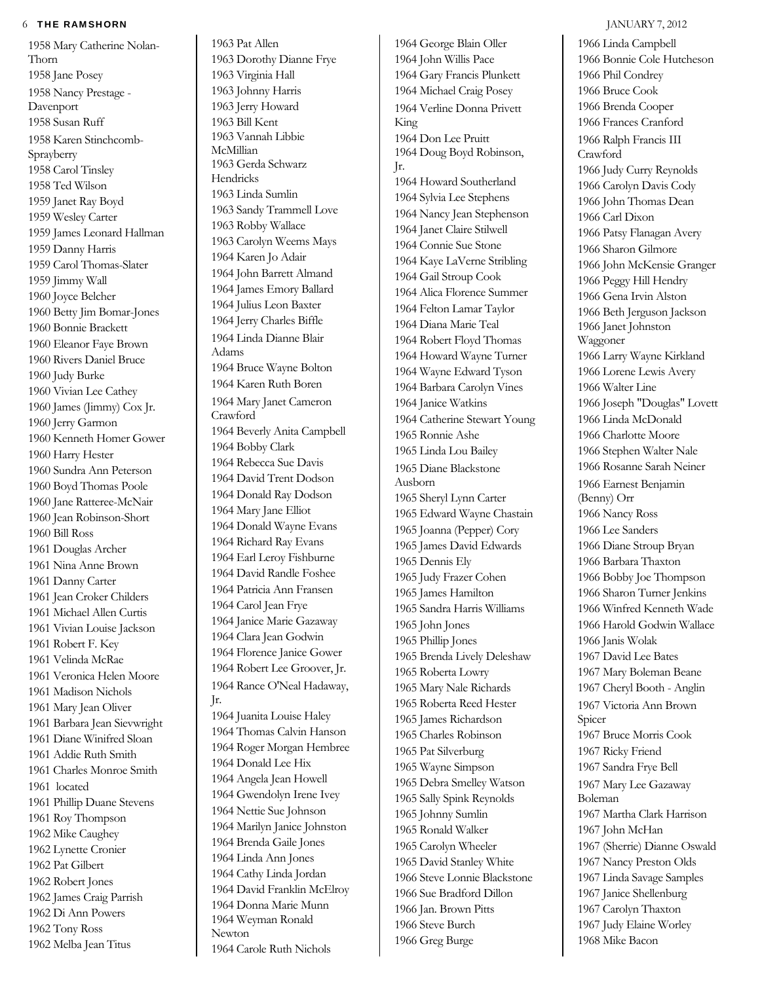#### 6 THE RAMSHORN **JANUARY 7, 2012**

1958 Mary Catherine Nolan-Thorn 1958 Jane Posey 1958 Nancy Prestage - Davenport 1958 Susan Ruff 1958 Karen Stinchcomb-Sprayberry 1958 Carol Tinsley 1958 Ted Wilson 1959 Janet Ray Boyd 1959 Wesley Carter 1959 James Leonard Hallman 1959 Danny Harris 1959 Carol Thomas-Slater 1959 Jimmy Wall 1960 Joyce Belcher 1960 Betty Jim Bomar-Jones 1960 Bonnie Brackett 1960 Eleanor Faye Brown 1960 Rivers Daniel Bruce 1960 Judy Burke 1960 Vivian Lee Cathey 1960 James (Jimmy) Cox Jr. 1960 Jerry Garmon 1960 Kenneth Homer Gower 1960 Harry Hester 1960 Sundra Ann Peterson 1960 Boyd Thomas Poole 1960 Jane Ratteree-McNair 1960 Jean Robinson-Short 1960 Bill Ross 1961 Douglas Archer 1961 Nina Anne Brown 1961 Danny Carter 1961 Jean Croker Childers 1961 Michael Allen Curtis 1961 Vivian Louise Jackson 1961 Robert F. Key 1961 Velinda McRae 1961 Veronica Helen Moore 1961 Madison Nichols 1961 Mary Jean Oliver 1961 Barbara Jean Sievwright 1961 Diane Winifred Sloan 1961 Addie Ruth Smith 1961 Charles Monroe Smith 1961 located 1961 Phillip Duane Stevens 1961 Roy Thompson 1962 Mike Caughey 1962 Lynette Cronier 1962 Pat Gilbert 1962 Robert Jones 1962 James Craig Parrish 1962 Di Ann Powers 1962 Tony Ross 1962 Melba Jean Titus

1963 Pat Allen 1963 Dorothy Dianne Frye 1963 Virginia Hall 1963 Johnny Harris 1963 Jerry Howard 1963 Bill Kent 1963 Vannah Libbie McMillian 1963 Gerda Schwarz Hendricks 1963 Linda Sumlin 1963 Sandy Trammell Love 1963 Robby Wallace 1963 Carolyn Weems Mays 1964 Karen Jo Adair 1964 John Barrett Almand 1964 James Emory Ballard 1964 Julius Leon Baxter 1964 Jerry Charles Biffle 1964 Linda Dianne Blair Adams 1964 Bruce Wayne Bolton 1964 Karen Ruth Boren 1964 Mary Janet Cameron Crawford 1964 Beverly Anita Campbell 1964 Bobby Clark 1964 Rebecca Sue Davis 1964 David Trent Dodson 1964 Donald Ray Dodson 1964 Mary Jane Elliot 1964 Donald Wayne Evans 1964 Richard Ray Evans 1964 Earl Leroy Fishburne 1964 David Randle Foshee 1964 Patricia Ann Fransen 1964 Carol Jean Frye 1964 Janice Marie Gazaway 1964 Clara Jean Godwin 1964 Florence Janice Gower 1964 Robert Lee Groover, Jr. 1964 Rance O'Neal Hadaway, Jr. 1964 Juanita Louise Haley 1964 Thomas Calvin Hanson 1964 Roger Morgan Hembree 1964 Donald Lee Hix 1964 Angela Jean Howell 1964 Gwendolyn Irene Ivey 1964 Nettie Sue Johnson 1964 Marilyn Janice Johnston 1964 Brenda Gaile Jones 1964 Linda Ann Jones 1964 Cathy Linda Jordan 1964 David Franklin McElroy

1964 Weyman Ronald

Newton

1964 Donna Marie Munn 1964 Carole Ruth Nichols Ausborn

#### 1964 George Blain Oller 1964 John Willis Pace 1964 Gary Francis Plunkett 1964 Michael Craig Posey 1964 Verline Donna Privett King 1964 Don Lee Pruitt 1964 Doug Boyd Robinson, Jr. 1964 Howard Southerland 1964 Sylvia Lee Stephens 1964 Nancy Jean Stephenson 1964 Janet Claire Stilwell 1964 Connie Sue Stone 1964 Kaye LaVerne Stribling 1964 Gail Stroup Cook 1964 Alica Florence Summer 1964 Felton Lamar Taylor 1964 Diana Marie Teal 1964 Robert Floyd Thomas 1964 Howard Wayne Turner 1964 Wayne Edward Tyson 1964 Barbara Carolyn Vines 1964 Janice Watkins 1964 Catherine Stewart Young 1965 Ronnie Ashe 1965 Linda Lou Bailey 1965 Diane Blackstone 1965 Sheryl Lynn Carter 1965 Edward Wayne Chastain 1965 Joanna (Pepper) Cory 1965 James David Edwards 1965 Dennis Ely 1965 Judy Frazer Cohen 1965 James Hamilton 1965 Sandra Harris Williams 1965 John Jones 1965 Phillip Jones 1965 Brenda Lively Deleshaw 1965 Roberta Lowry 1965 Mary Nale Richards 1965 Roberta Reed Hester 1965 James Richardson 1965 Charles Robinson 1965 Pat Silverburg 1965 Wayne Simpson 1965 Debra Smelley Watson 1965 Sally Spink Reynolds 1965 Johnny Sumlin 1965 Ronald Walker 1965 Carolyn Wheeler 1965 David Stanley White 1966 Steve Lonnie Blackstone 1966 Sue Bradford Dillon 1966 Jan. Brown Pitts 1966 Steve Burch 1966 Greg Burge

#### 1966 Linda Campbell 1966 Bonnie Cole Hutcheson 1966 Phil Condrey 1966 Bruce Cook 1966 Brenda Cooper 1966 Frances Cranford 1966 Ralph Francis III Crawford 1966 Judy Curry Reynolds 1966 Carolyn Davis Cody 1966 John Thomas Dean 1966 Carl Dixon 1966 Patsy Flanagan Avery 1966 Sharon Gilmore 1966 John McKensie Granger 1966 Peggy Hill Hendry 1966 Gena Irvin Alston 1966 Beth Jerguson Jackson 1966 Janet Johnston Waggoner 1966 Larry Wayne Kirkland 1966 Lorene Lewis Avery 1966 Walter Line 1966 Joseph "Douglas" Lovett 1966 Linda McDonald 1966 Charlotte Moore 1966 Stephen Walter Nale 1966 Rosanne Sarah Neiner 1966 Earnest Benjamin (Benny) Orr 1966 Nancy Ross 1966 Lee Sanders 1966 Diane Stroup Bryan 1966 Barbara Thaxton 1966 Bobby Joe Thompson 1966 Sharon Turner Jenkins 1966 Winfred Kenneth Wade 1966 Harold Godwin Wallace 1966 Janis Wolak 1967 David Lee Bates 1967 Mary Boleman Beane 1967 Cheryl Booth - Anglin 1967 Victoria Ann Brown Spicer 1967 Bruce Morris Cook 1967 Ricky Friend 1967 Sandra Frye Bell 1967 Mary Lee Gazaway Boleman 1967 Martha Clark Harrison 1967 John McHan 1967 (Sherrie) Dianne Oswald 1967 Nancy Preston Olds 1967 Linda Savage Samples 1967 Janice Shellenburg 1967 Carolyn Thaxton 1967 Judy Elaine Worley 1968 Mike Bacon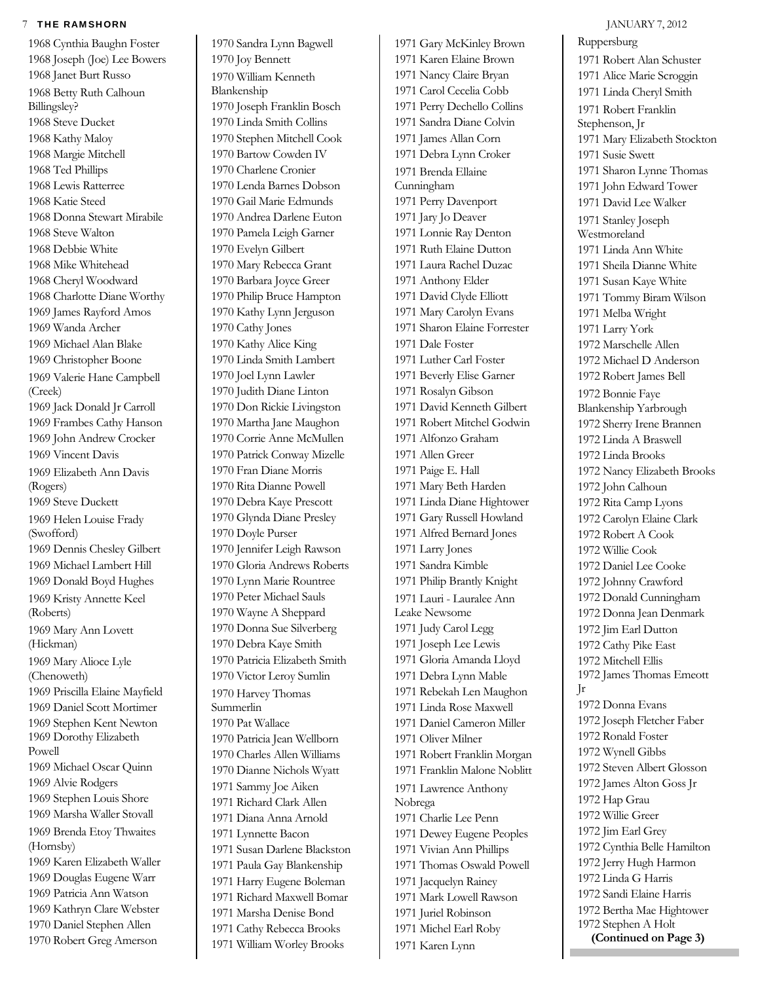#### **THE RAMSHORN JANUARY 7, 2012**

1968 Cynthia Baughn Foster 1968 Joseph (Joe) Lee Bowers 1968 Janet Burt Russo 1968 Betty Ruth Calhoun Billingsley? 1968 Steve Ducket 1968 Kathy Maloy 1968 Margie Mitchell 1968 Ted Phillips 1968 Lewis Ratterree 1968 Katie Steed 1968 Donna Stewart Mirabile 1968 Steve Walton 1968 Debbie White 1968 Mike Whitehead 1968 Cheryl Woodward 1968 Charlotte Diane Worthy 1969 James Rayford Amos 1969 Wanda Archer 1969 Michael Alan Blake 1969 Christopher Boone 1969 Valerie Hane Campbell (Creek) 1969 Jack Donald Jr Carroll 1969 Frambes Cathy Hanson 1969 John Andrew Crocker 1969 Vincent Davis 1969 Elizabeth Ann Davis (Rogers) 1969 Steve Duckett 1969 Helen Louise Frady (Swofford) 1969 Dennis Chesley Gilbert 1969 Michael Lambert Hill 1969 Donald Boyd Hughes 1969 Kristy Annette Keel (Roberts) 1969 Mary Ann Lovett (Hickman) 1969 Mary Alioce Lyle (Chenoweth) 1969 Priscilla Elaine Mayfield 1969 Daniel Scott Mortimer 1969 Stephen Kent Newton 1969 Dorothy Elizabeth Powell 1969 Michael Oscar Quinn 1969 Alvie Rodgers 1969 Stephen Louis Shore 1969 Marsha Waller Stovall 1969 Brenda Etoy Thwaites (Hornsby) 1969 Karen Elizabeth Waller 1969 Douglas Eugene Warr 1969 Patricia Ann Watson 1969 Kathryn Clare Webster 1970 Daniel Stephen Allen 1970 Robert Greg Amerson

1970 Sandra Lynn Bagwell 1970 Joy Bennett 1970 William Kenneth Blankenship 1970 Joseph Franklin Bosch 1970 Linda Smith Collins 1970 Stephen Mitchell Cook 1970 Bartow Cowden IV 1970 Charlene Cronier 1970 Lenda Barnes Dobson 1970 Gail Marie Edmunds 1970 Andrea Darlene Euton 1970 Pamela Leigh Garner 1970 Evelyn Gilbert 1970 Mary Rebecca Grant 1970 Barbara Joyce Greer 1970 Philip Bruce Hampton 1970 Kathy Lynn Jerguson 1970 Cathy Jones 1970 Kathy Alice King 1970 Linda Smith Lambert 1970 Joel Lynn Lawler 1970 Judith Diane Linton 1970 Don Rickie Livingston 1970 Martha Jane Maughon 1970 Corrie Anne McMullen 1970 Patrick Conway Mizelle 1970 Fran Diane Morris 1970 Rita Dianne Powell 1970 Debra Kaye Prescott 1970 Glynda Diane Presley 1970 Doyle Purser 1970 Jennifer Leigh Rawson 1970 Gloria Andrews Roberts 1970 Lynn Marie Rountree 1970 Peter Michael Sauls 1970 Wayne A Sheppard 1970 Donna Sue Silverberg 1970 Debra Kaye Smith 1970 Patricia Elizabeth Smith 1970 Victor Leroy Sumlin 1970 Harvey Thomas Summerlin 1970 Pat Wallace 1970 Patricia Jean Wellborn 1970 Charles Allen Williams 1970 Dianne Nichols Wyatt 1971 Sammy Joe Aiken 1971 Richard Clark Allen 1971 Diana Anna Arnold 1971 Lynnette Bacon 1971 Susan Darlene Blackston 1971 Paula Gay Blankenship 1971 Harry Eugene Boleman 1971 Richard Maxwell Bomar 1971 Marsha Denise Bond 1971 Cathy Rebecca Brooks 1971 William Worley Brooks

1971 Gary McKinley Brown 1971 Karen Elaine Brown 1971 Nancy Claire Bryan 1971 Carol Cecelia Cobb 1971 Perry Dechello Collins 1971 Sandra Diane Colvin 1971 James Allan Corn 1971 Debra Lynn Croker 1971 Brenda Ellaine Cunningham 1971 Perry Davenport 1971 Jary Jo Deaver 1971 Lonnie Ray Denton 1971 Ruth Elaine Dutton 1971 Laura Rachel Duzac 1971 Anthony Elder 1971 David Clyde Elliott 1971 Mary Carolyn Evans 1971 Sharon Elaine Forrester 1971 Dale Foster 1971 Luther Carl Foster 1971 Beverly Elise Garner 1971 Rosalyn Gibson 1971 David Kenneth Gilbert 1971 Robert Mitchel Godwin 1971 Alfonzo Graham 1971 Allen Greer 1971 Paige E. Hall 1971 Mary Beth Harden 1971 Linda Diane Hightower 1971 Gary Russell Howland 1971 Alfred Bernard Jones 1971 Larry Jones 1971 Sandra Kimble 1971 Philip Brantly Knight 1971 Lauri - Lauralee Ann Leake Newsome 1971 Judy Carol Legg 1971 Joseph Lee Lewis 1971 Gloria Amanda Lloyd 1971 Debra Lynn Mable 1971 Rebekah Len Maughon 1971 Linda Rose Maxwell 1971 Daniel Cameron Miller 1971 Oliver Milner 1971 Robert Franklin Morgan 1971 Franklin Malone Noblitt 1971 Lawrence Anthony Nobrega 1971 Charlie Lee Penn 1971 Dewey Eugene Peoples 1971 Vivian Ann Phillips 1971 Thomas Oswald Powell 1971 Jacquelyn Rainey 1971 Mark Lowell Rawson 1971 Juriel Robinson 1971 Michel Earl Roby 1971 Karen Lynn

Ruppersburg 1971 Robert Alan Schuster 1971 Alice Marie Scroggin 1971 Linda Cheryl Smith 1971 Robert Franklin Stephenson, Jr 1971 Mary Elizabeth Stockton 1971 Susie Swett 1971 Sharon Lynne Thomas 1971 John Edward Tower 1971 David Lee Walker 1971 Stanley Joseph **Westmoreland** 1971 Linda Ann White 1971 Sheila Dianne White 1971 Susan Kaye White 1971 Tommy Biram Wilson 1971 Melba Wright 1971 Larry York 1972 Marschelle Allen 1972 Michael D Anderson 1972 Robert James Bell 1972 Bonnie Faye Blankenship Yarbrough 1972 Sherry Irene Brannen 1972 Linda A Braswell 1972 Linda Brooks 1972 Nancy Elizabeth Brooks 1972 John Calhoun 1972 Rita Camp Lyons 1972 Carolyn Elaine Clark 1972 Robert A Cook 1972 Willie Cook 1972 Daniel Lee Cooke 1972 Johnny Crawford 1972 Donald Cunningham 1972 Donna Jean Denmark 1972 Jim Earl Dutton 1972 Cathy Pike East 1972 Mitchell Ellis 1972 James Thomas Emeott Jr 1972 Donna Evans 1972 Joseph Fletcher Faber 1972 Ronald Foster 1972 Wynell Gibbs 1972 Steven Albert Glosson 1972 James Alton Goss Jr 1972 Hap Grau 1972 Willie Greer 1972 Jim Earl Grey 1972 Cynthia Belle Hamilton 1972 Jerry Hugh Harmon 1972 Linda G Harris 1972 Sandi Elaine Harris 1972 Bertha Mae Hightower 1972 Stephen A Holt **(Continued on Page 3)**